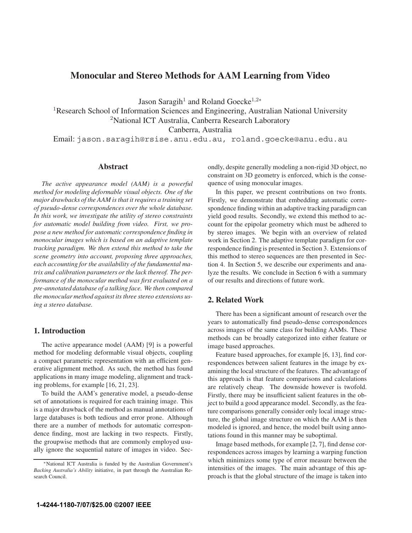# **Monocular and Stereo Methods for AAM Learning from Video**

Jason Saragih<sup>1</sup> and Roland Goecke<sup>1,2∗</sup>

<sup>1</sup>Research School of Information Sciences and Engineering, Australian National University <sup>2</sup>National ICT Australia, Canberra Research Laboratory

Canberra, Australia

Email: jason.saragih@rsise.anu.edu.au, roland.goecke@anu.edu.au

# **Abstract**

*The active appearance model (AAM) is a powerful method for modeling deformable visual objects. One of the major drawbacks of the AAM is that it requires a training set of pseudo-dense correspondences over the whole database. In this work, we investigate the utility of stereo constraints for automatic model building from video. First, we propose a new method for automatic correspondence finding in monocular images which is based on an adaptive template tracking paradigm. We then extend this method to take the scene geometry into account, proposing three approaches, each accounting for the availability of the fundamental matrix and calibration parameters or the lack thereof. The performance of the monocular method was first evaluated on a pre-annotated database of a talking face. We then compared the monocular method against its three stereo extensions using a stereo database.*

# **1. Introduction**

The active appearance model (AAM) [9] is a powerful method for modeling deformable visual objects, coupling a compact parametric representation with an efficient generative alignment method. As such, the method has found applications in many image modeling, alignment and tracking problems, for example [16, 21, 23].

To build the AAM's generative model, a pseudo-dense set of annotations is required for each training image. This is a major drawback of the method as manual annotations of large databases is both tedious and error prone. Although there are a number of methods for automatic correspondence finding, most are lacking in two respects. Firstly, the groupwise methods that are commonly employed usually ignore the sequential nature of images in video. Secondly, despite generally modeling a non-rigid 3D object, no constraint on 3D geometry is enforced, which is the consequence of using monocular images.

In this paper, we present contributions on two fronts. Firstly, we demonstrate that embedding automatic correspondence finding within an adaptive tracking paradigm can yield good results. Secondly, we extend this method to account for the epipolar geometry which must be adhered to by stereo images. We begin with an overview of related work in Section 2. The adaptive template paradigm for correspondence finding is presented in Section 3. Extensions of this method to stereo sequences are then presented in Section 4. In Section 5, we describe our experiments and analyze the results. We conclude in Section 6 with a summary of our results and directions of future work.

# **2. Related Work**

There has been a significant amount of research over the years to automatically find pseudo-dense correspondences across images of the same class for building AAMs. These methods can be broadly categorized into either feature or image based approaches.

Feature based approaches, for example [6, 13], find correspondences between salient features in the image by examining the local structure of the features. The advantage of this approach is that feature comparisons and calculations are relatively cheap. The downside however is twofold. Firstly, there may be insufficient salient features in the object to build a good appearance model. Secondly, as the feature comparisons generally consider only local image structure, the global image structure on which the AAM is then modeled is ignored, and hence, the model built using annotations found in this manner may be suboptimal.

Image based methods, for example [2, 7], find dense correspondences across images by learning a warping function which minimizes some type of error measure between the intensities of the images. The main advantage of this approach is that the global structure of the image is taken into

<sup>∗</sup>National ICT Australia is funded by the Australian Government's *Backing Australia's Ability* initiative, in part through the Australian Research Council.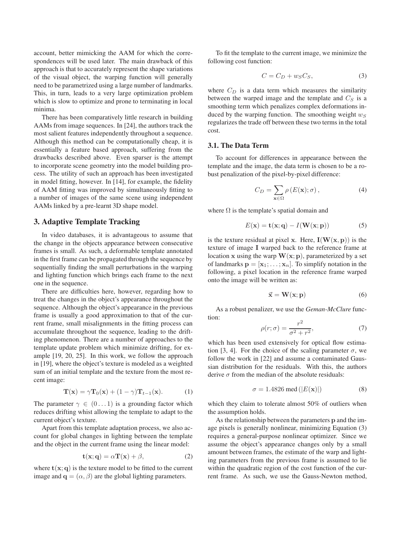account, better mimicking the AAM for which the correspondences will be used later. The main drawback of this approach is that to accurately represent the shape variations of the visual object, the warping function will generally need to be parametrized using a large number of landmarks. This, in turn, leads to a very large optimization problem which is slow to optimize and prone to terminating in local minima.

There has been comparatively little research in building AAMs from image sequences. In [24], the authors track the most salient features independently throughout a sequence. Although this method can be computationally cheap, it is essentially a feature based approach, suffering from the drawbacks described above. Even sparser is the attempt to incorporate scene geometry into the model building process. The utility of such an approach has been investigated in model fitting, however. In [14], for example, the fidelity of AAM fitting was improved by simultaneously fitting to a number of images of the same scene using independent AAMs linked by a pre-learnt 3D shape model.

# **3. Adaptive Template Tracking**

In video databases, it is advantageous to assume that the change in the objects appearance between consecutive frames is small. As such, a deformable template annotated in the first frame can be propagated through the sequence by sequentially finding the small perturbations in the warping and lighting function which brings each frame to the next one in the sequence.

There are difficulties here, however, regarding how to treat the changes in the object's appearance throughout the sequence. Although the object's appearance in the previous frame is usually a good approximation to that of the current frame, small misalignments in the fitting process can accumulate throughout the sequence, leading to the drifting phenomenon. There are a number of approaches to the template update problem which minimize drifting, for example [19, 20, 25]. In this work, we follow the approach in [19], where the object's texture is modeled as a weighted sum of an initial template and the texture from the most recent image:

$$
\mathbf{T}(\mathbf{x}) = \gamma \mathbf{T}_0(\mathbf{x}) + (1 - \gamma) \mathbf{T}_{t-1}(\mathbf{x}). \tag{1}
$$

The parameter  $\gamma \in (0...1)$  is a grounding factor which reduces drifting whist allowing the template to adapt to the current object's texture.

Apart from this template adaptation process, we also account for global changes in lighting between the template and the object in the current frame using the linear model:

$$
\mathbf{t}(\mathbf{x}; \mathbf{q}) = \alpha \mathbf{T}(\mathbf{x}) + \beta,\tag{2}
$$

where  $\mathbf{t}(\mathbf{x}; \mathbf{q})$  is the texture model to be fitted to the current image and  $\mathbf{q} = (\alpha, \beta)$  are the global lighting parameters.

To fit the template to the current image, we minimize the following cost function:

$$
C = C_D + w_S C_S, \t\t(3)
$$

where  $C_D$  is a data term which measures the similarity between the warped image and the template and  $C_S$  is a smoothing term which penalizes complex deformations induced by the warping function. The smoothing weight  $w_S$ regularizes the trade off between these two terms in the total cost.

#### **3.1. The Data Term**

To account for differences in appearance between the template and the image, the data term is chosen to be a robust penalization of the pixel-by-pixel difference:

$$
C_D = \sum_{\mathbf{x} \in \Omega} \rho(E(\mathbf{x}); \sigma), \tag{4}
$$

where  $\Omega$  is the template's spatial domain and

$$
E(\mathbf{x}) = \mathbf{t}(\mathbf{x}; \mathbf{q}) - I(\mathbf{W}(\mathbf{x}; \mathbf{p}))
$$
 (5)

is the texture residual at pixel **x**. Here,  $I(W(x, p))$  is the texture of image **I** warped back to the reference frame at location **x** using the warp  $W(x; p)$ , parameterized by a set of landmarks  $\mathbf{p} = [\mathbf{x}_1; \dots; \mathbf{x}_n]$ . To simplify notation in the following, a pixel location in the reference frame warped onto the image will be written as:

$$
\vec{x} = W(x; p) \tag{6}
$$

As a robust penalizer, we use the *Geman-McClure* function:

$$
\rho(r;\sigma) = \frac{r^2}{\sigma^2 + r^2},\tag{7}
$$

which has been used extensively for optical flow estimation [3, 4]. For the choice of the scaling parameter  $\sigma$ , we follow the work in [22] and assume a contaminated Gaussian distribution for the residuals. With this, the authors derive  $\sigma$  from the median of the absolute residuals:

$$
\sigma = 1.4826 \text{ med } (|E(\mathbf{x})|)
$$
 (8)

which they claim to tolerate almost 50% of outliers when the assumption holds.

As the relationship between the parameters **p** and the image pixels is generally nonlinear, minimizing Equation (3) requires a general-purpose nonlinear optimizer. Since we assume the object's appearance changes only by a small amount between frames, the estimate of the warp and lighting parameters from the previous frame is assumed to lie within the quadratic region of the cost function of the current frame. As such, we use the Gauss-Newton method,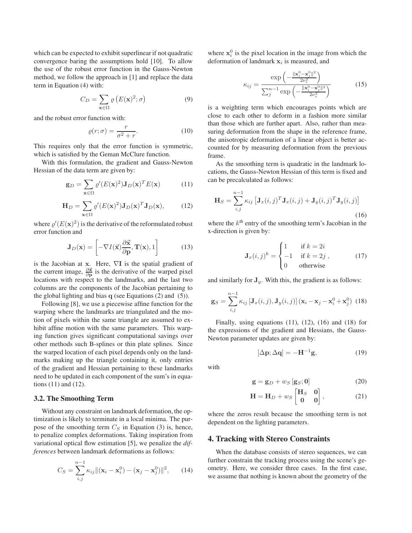which can be expected to exhibit superlinear if not quadratic convergence baring the assumptions hold [10]. To allow the use of the robust error function in the Gauss-Newton method, we follow the approach in [1] and replace the data term in Equation (4) with:

$$
C_D = \sum_{\mathbf{x} \in \Omega} \varrho \left( E(\mathbf{x})^2; \sigma \right) \tag{9}
$$

and the robust error function with:

$$
\varrho(r;\sigma) = \frac{r}{\sigma^2 + r}.\tag{10}
$$

This requires only that the error function is symmetric, which is satisfied by the Geman McClure function.

With this formulation, the gradient and Gauss-Newton Hessian of the data term are given by:

$$
\mathbf{g}_D = \sum_{\mathbf{x} \in \Omega} \varrho'(E(\mathbf{x})^2) \mathbf{J}_D(\mathbf{x})^T E(\mathbf{x}) \tag{11}
$$

$$
\mathbf{H}_D = \sum_{\mathbf{x} \in \Omega} \varrho'(E(\mathbf{x})^2) \mathbf{J}_D(\mathbf{x})^T \mathbf{J}_D(\mathbf{x}), \qquad (12)
$$

where  $\varrho'(E(\mathbf{x})^2)$  is the derivative of the reformulated robust<br>error function and error function and

$$
\mathbf{J}_D(\mathbf{x}) = \left[ -\nabla I(\vec{\mathbf{x}}) \frac{\partial \vec{\mathbf{x}}}{\partial \mathbf{p}}, \mathbf{T}(\mathbf{x}), 1 \right]
$$
(13)

is the Jacobian at **x**. Here, <sup>∇</sup>**I** is the spatial gradient of the current image,  $\frac{\partial \vec{x}}{\partial p}$  is the derivative of the warped pixel locations with respect to the landmarks, and the last two columns are the components of the Jacobian pertaining to the global lighting and bias **q** (see Equations (2) and (5)).

Following [8], we use a piecewise affine function for the warping where the landmarks are triangulated and the motion of pixels within the same triangle are assumed to exhibit affine motion with the same parameters. This warping function gives significant computational savings over other methods such B-splines or thin plate splines. Since the warped location of each pixel depends only on the landmarks making up the triangle containing it, only entries of the gradient and Hessian pertaining to these landmarks need to be updated in each component of the sum's in equations (11) and (12).

#### **3.2. The Smoothing Term**

Without any constraint on landmark deformation, the optimization is likely to terminate in a local minima. The purpose of the smoothing term  $C_S$  in Equation (3) is, hence, to penalize complex deformations. Taking inspiration from variational optical flow estimation [5], we penalize the *differences* between landmark deformations as follows:

$$
C_S = \sum_{i,j}^{n-1} \kappa_{ij} ||(\mathbf{x}_i - \mathbf{x}_i^0) - (\mathbf{x}_j - \mathbf{x}_j^0) ||^2, \qquad (14)
$$

where  $\mathbf{x}_i^0$  is the pixel location in the image from which the deformation of landmark  $\mathbf{x}_i$  is measured and deformation of landmark  $x_i$  is measured, and

$$
\kappa_{ij} = \frac{\exp\left(-\frac{\|\mathbf{x}_i^0 - \mathbf{x}_j^0\|^2}{2\nu_s^2}\right)}{\sum_j^{n-1} \exp\left(-\frac{\|\mathbf{x}_i^0 - \mathbf{x}_j^0\|^2}{2\nu_s^2}\right)}
$$
(15)

is a weighting term which encourages points which are close to each other to deform in a fashion more similar than those which are further apart. Also, rather than measuring deformation from the shape in the reference frame, the anisotropic deformation of a linear object is better accounted for by measuring deformation from the previous frame.

As the smoothing term is quadratic in the landmark locations, the Gauss-Newton Hessian of this term is fixed and can be precalculated as follows:

$$
\mathbf{H}_{S} = \sum_{i,j}^{n-1} \kappa_{ij} \left[ \mathbf{J}_{x}(i,j)^{T} \mathbf{J}_{x}(i,j) + \mathbf{J}_{y}(i,j)^{T} \mathbf{J}_{y}(i,j) \right]
$$
\n(16)

where the  $k<sup>th</sup>$  entry of the smoothing term's Jacobian in the x-direction is given by:

$$
\mathbf{J}_x(i,j)^k = \begin{cases} 1 & \text{if } k = 2i \\ -1 & \text{if } k = 2j \\ 0 & \text{otherwise} \end{cases}
$$
 (17)

and similarly for  $J_y$ . With this, the gradient is as follows:

$$
\mathbf{g}_S = \sum_{i,j}^{n-1} \kappa_{ij} \left[ \mathbf{J}_x(i,j), \mathbf{J}_y(i,j) \right] (\mathbf{x}_i - \mathbf{x}_j - \mathbf{x}_i^0 + \mathbf{x}_j^0) \tag{18}
$$

Finally, using equations (11), (12), (16) and (18) for the expressions of the gradient and Hessians, the Gauss-Newton parameter updates are given by:

$$
[\Delta \mathbf{p}; \Delta \mathbf{q}] = -\mathbf{H}^{-1}\mathbf{g},\tag{19}
$$

with

$$
\mathbf{g} = \mathbf{g}_D + w_S \left[ \mathbf{g}_S; \mathbf{0} \right] \tag{20}
$$

$$
\mathbf{H} = \mathbf{H}_D + w_S \begin{bmatrix} \mathbf{H}_S & \mathbf{0} \\ \mathbf{0} & \mathbf{0} \end{bmatrix}, \tag{21}
$$

where the zeros result because the smoothing term is not dependent on the lighting parameters.

#### **4. Tracking with Stereo Constraints**

When the database consists of stereo sequences, we can further constrain the tracking process using the scene's geometry. Here, we consider three cases. In the first case, we assume that nothing is known about the geometry of the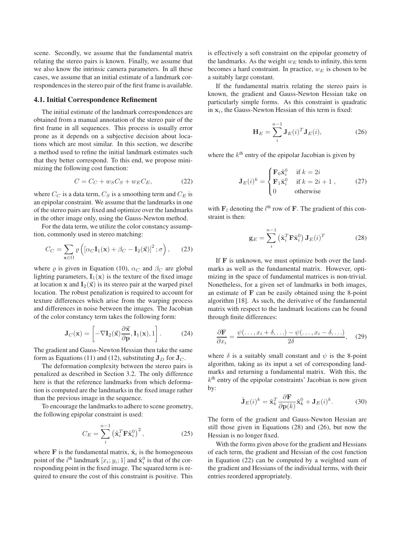scene. Secondly, we assume that the fundamental matrix relating the stereo pairs is known. Finally, we assume that we also know the intrinsic camera parameters. In all these cases, we assume that an initial estimate of a landmark correspondences in the stereo pair of the first frame is available.

### **4.1. Initial Correspondence Refinement**

The initial estimate of the landmark correspondences are obtained from a manual annotation of the stereo pair of the first frame in all sequences. This process is usually error prone as it depends on a subjective decision about locations which are most similar. In this section, we describe a method used to refine the initial landmark estimates such that they better correspond. To this end, we propose minimizing the following cost function:

$$
C = C_C + w_S C_S + w_E C_E, \qquad (22)
$$

where  $C_C$  is a data term,  $C_S$  is a smoothing term and  $C_E$  is an epipolar constraint. We assume that the landmarks in one of the stereo pairs are fixed and optimize over the landmarks in the other image only, using the Gauss-Newton method.

For the data term, we utilize the color constancy assumption, commonly used in stereo matching:

$$
C_C = \sum_{\mathbf{x} \in \Omega} \varrho \left( \left[ \alpha_C \mathbf{I}_1(\mathbf{x}) + \beta_C - \mathbf{I}_2(\vec{\mathbf{x}}) \right]^2; \sigma \right), \qquad (23)
$$

where  $\rho$  is given in Equation (10),  $\alpha_C$  and  $\beta_C$  are global lighting parameters,  $\mathbf{I}_1(\mathbf{x})$  is the texture of the fixed image at location **x** and  $I_2(\vec{x})$  is its stereo pair at the warped pixel location. The robust penalization is required to account for texture differences which arise from the warping process and differences in noise between the images. The Jacobian of the color constancy term takes the following form:

$$
\mathbf{J}_C(\mathbf{x}) = \left[ -\nabla \mathbf{I}_2(\vec{\mathbf{x}}) \frac{\partial \vec{\mathbf{x}}}{\partial \mathbf{p}}, \mathbf{I}_1(\mathbf{x}), 1 \right].
$$
 (24)

The gradient and Gauss-Newton Hessian then take the same form as Equations (11) and (12), substituting  $J_D$  for  $J_C$ .

The deformation complexity between the stereo pairs is penalized as described in Section 3.2. The only difference here is that the reference landmarks from which deformation is computed are the landmarks in the fixed image rather than the previous image in the sequence.

To encourage the landmarks to adhere to scene geometry, the following epipolar constraint is used:

$$
C_E = \sum_{i}^{n-1} \left(\tilde{\mathbf{x}}_i^T \mathbf{F} \tilde{\mathbf{x}}_i^0\right)^2, \tag{25}
$$

where **F** is the fundamental matrix,  $\tilde{\mathbf{x}}_i$  is the homogeneous point of the *i*<sup>th</sup> landmark  $[x_i; y_i; 1]$  and  $\tilde{\mathbf{x}}_i^0$  is that of the corresponding point in the fixed image. The squared term is reresponding point in the fixed image. The squared term is required to ensure the cost of this constraint is positive. This

is effectively a soft constraint on the epipolar geometry of the landmarks. As the weight  $w_E$  tends to infinity, this term becomes a hard constraint. In practice,  $w_E$  is chosen to be a suitably large constant.

If the fundamental matrix relating the stereo pairs is known, the gradient and Gauss-Newton Hessian take on particularly simple forms. As this constraint is quadratic in  $x_i$ , the Gauss-Newton Hessian of this term is fixed:

$$
\mathbf{H}_E = \sum_{i}^{n-1} \mathbf{J}_E(i)^T \mathbf{J}_E(i), \tag{26}
$$

where the  $k<sup>th</sup>$  entry of the epipolar Jacobian is given by

$$
\mathbf{J}_E(i)^k = \begin{cases} \mathbf{F}_0 \tilde{\mathbf{x}}_i^0 & \text{if } k = 2i \\ \mathbf{F}_1 \tilde{\mathbf{x}}_i^0 & \text{if } k = 2i + 1 \\ 0 & \text{otherwise} \end{cases}
$$
 (27)

with  $\mathbf{F}_l$  denoting the  $l^{\text{th}}$  row of **F**. The gradient of this constraint is then: straint is then:

$$
\mathbf{g}_E = \sum_{i}^{n-1} \left( \tilde{\mathbf{x}}_i^T \mathbf{F} \tilde{\mathbf{x}}_i^0 \right) \mathbf{J}_E(i)^T
$$
 (28)

If **F** is unknown, we must optimize both over the landmarks as well as the fundamental matrix. However, optimizing in the space of fundamental matrices is non-trivial. Nonetheless, for a given set of landmarks in both images, an estimate of **F** can be easily obtained using the 8-point algorithm [18]. As such, the derivative of the fundamental matrix with respect to the landmark locations can be found through finite differences:

$$
\frac{\partial \mathbf{F}}{\partial x_i} = \frac{\psi(\dots, x_i + \delta, \dots) - \psi(\dots, x_i - \delta, \dots)}{2\delta}, \quad (29)
$$

where  $\delta$  is a suitably small constant and  $\psi$  is the 8-point algorithm, taking as its input a set of corresponding landmarks and returning a fundamental matrix. With this, the  $k<sup>th</sup>$  entry of the epipolar constraints' Jacobian is now given by:

$$
\hat{\mathbf{J}}_E(i)^k = \tilde{\mathbf{x}}_k^T \frac{\partial \mathbf{F}}{\partial \mathbf{p}(k)} \tilde{\mathbf{x}}_k^0 + \mathbf{J}_E(i)^k.
$$
 (30)

The form of the gradient and Gauss-Newton Hessian are still those given in Equations (28) and (26), but now the Hessian is no longer fixed.

With the forms given above for the gradient and Hessians of each term, the gradient and Hessian of the cost function in Equation (22) can be computed by a weighted sum of the gradient and Hessians of the individual terms, with their entries reordered appropriately.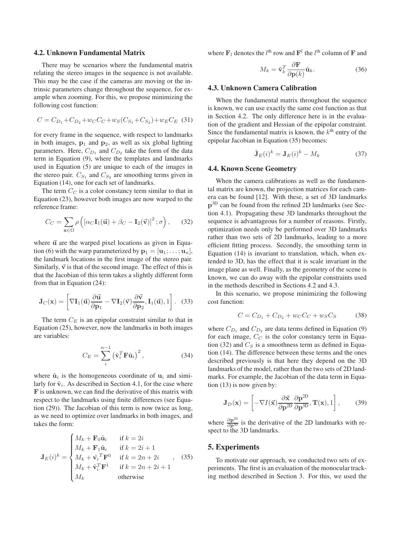#### **4.2. Unknown Fundamental Matrix**

There may be scenarios where the fundamental matrix relating the stereo images in the sequence is not available. This may be the case if the cameras are moving or the intrinsic parameters change throughout the sequence, for example when zooming. For this, we propose minimizing the following cost function:

$$
C = C_{D_1} + C_{D_2} + w_C C_C + w_S (C_{S_1} + C_{S_2}) + w_E C_E
$$
 (31)

for every frame in the sequence, with respect to landmarks in both images,  $\mathbf{p}_1$  and  $\mathbf{p}_2$ , as well as six global lighting parameters. Here,  $C_{D_1}$  and  $C_{D_2}$  take the form of the data term in Equation (9), where the templates and landmarks used in Equation (5) are unique to each of the images in the stereo pair.  $C_{S_1}$  and  $C_{S_2}$  are smoothing terms given in Equation (14), one for each set of landmarks.

The term  $C_C$  is a color constancy term similar to that in Equation (23), however both images are now warped to the reference frame:

$$
C_C = \sum_{\mathbf{x} \in \Omega} \rho \left( \left[ \alpha_C \mathbf{I}_1(\vec{\mathbf{u}}) + \beta_C - \mathbf{I}_2(\vec{\mathbf{v}}) \right]^2; \sigma \right), \qquad (32)
$$

where  $\vec{u}$  are the warped pixel locations as given in Equation (6) with the warp parameterized by  $\mathbf{p}_1 = [\mathbf{u}_1; \dots; \mathbf{u}_n],$ the landmark locations in the first image of the stereo pair. Similarly,  $\vec{v}$  is that of the second image. The effect of this is that the Jacobian of this term takes a slightly different form from that in Equation (24):

$$
\mathbf{J}_C(\mathbf{x}) = \left[ \nabla \mathbf{I}_1(\vec{\mathbf{u}}) \frac{\partial \vec{\mathbf{u}}}{\partial \mathbf{p}_1} - \nabla \mathbf{I}_2(\vec{\mathbf{v}}) \frac{\partial \vec{\mathbf{v}}}{\partial \mathbf{p}_2}, \mathbf{I}_1(\vec{\mathbf{u}}), 1 \right].
$$
 (33)

The term  $C_E$  is an epipolar constraint similar to that in Equation (25), however, now the landmarks in both images are variables:

$$
C_E = \sum_{i}^{n-1} (\tilde{\mathbf{v}}_i^T \mathbf{F} \tilde{\mathbf{u}}_i)^2, \qquad (34)
$$

where  $\tilde{\mathbf{u}}_i$  is the homogeneous coordinate of  $\mathbf{u}_i$  and similarly for  $\tilde{\mathbf{v}}_i$ . As described in Section 4.1, for the case where **F** is unknown, we can find the derivative of this matrix with respect to the landmarks using finite differences (see Equation (29)). The Jacobian of this term is now twice as long, as we need to optimize over landmarks in both images, and takes the form:

$$
\mathbf{J}_E(i)^k = \begin{cases} M_k + \mathbf{F}_0 \tilde{\mathbf{u}}_i & \text{if } k = 2i \\ M_k + \mathbf{F}_1 \tilde{\mathbf{u}}_i & \text{if } k = 2i + 1 \\ M_k + \tilde{\mathbf{v}}_i^T \mathbf{F}^0 & \text{if } k = 2n + 2i \\ M_k + \tilde{\mathbf{v}}_i^T \mathbf{F}^1 & \text{if } k = 2n + 2i + 1 \\ M_k & \text{otherwise} \end{cases}, \quad (35)
$$

where  $\mathbf{F}_l$  denotes the  $l^{\text{th}}$  row and  $\mathbf{F}^l$  the  $l^{\text{th}}$  column of  $\mathbf{F}$  and

$$
M_k = \tilde{\mathbf{v}}_k^T \frac{\partial \mathbf{F}}{\partial \mathbf{p}(k)} \tilde{\mathbf{u}}_k.
$$
 (36)

### **4.3. Unknown Camera Calibration**

When the fundamental matrix throughout the sequence is known, we can use exactly the same cost function as that in Section 4.2. The only difference here is in the evaluation of the gradient and Hessian of the epipolar constraint. Since the fundamental matrix is known, the  $k<sup>th</sup>$  entry of the epipolar Jacobian in Equation (35) becomes:

$$
\hat{\mathbf{J}}_E(i)^k = \mathbf{J}_E(i)^k - M_k \tag{37}
$$

#### **4.4. Known Scene Geometry**

When the camera calibrations as well as the fundamental matrix are known, the projection matrices for each camera can be found [12]. With these, a set of 3D landmarks **p**3D can be found from the refined 2D landmarks (see Section 4.1). Propagating these 3D landmarks throughout the sequence is advantageous for a number of reasons. Firstly, optimization needs only be performed over 3D landmarks rather than two sets of 2D landmarks, leading to a more efficient fitting process. Secondly, the smoothing term in Equation (14) is invariant to translation, which, when extended to 3D, has the effect that it is scale invariant in the image plane as well. Finally, as the geometry of the scene is known, we can do away with the epipolar constraints used in the methods described in Sections 4.2 and 4.3.

In this scenario, we propose minimizing the following cost function:

$$
C = C_{D_1} + C_{D_2} + w_C C_C + w_S C_S \tag{38}
$$

where  $C_{D_1}$  and  $C_{D_2}$  are data terms defined in Equation (9) for each image,  $C_C$  is the color constancy term in Equation (32) and  $C<sub>S</sub>$  is a smoothness term as defined in Equation (14). The difference between these terms and the ones described previously is that here they depend on the 3D landmarks of the model, rather than the two sets of 2D landmarks. For example, the Jacobian of the data term in Equation (13) is now given by:

$$
\mathbf{J}_D(\mathbf{x}) = \left[ -\nabla I(\vec{\mathbf{x}}) \frac{\partial \vec{\mathbf{x}}}{\partial \mathbf{p}^{\text{2D}}} \frac{\partial \mathbf{p}^{\text{2D}}}{\partial \mathbf{p}^{\text{3D}}} , \mathbf{T}(\mathbf{x}), 1 \right],\tag{39}
$$

where  $\frac{\partial \mathbf{p}^{2D}}{\partial \mathbf{p}^{3D}}$  is the derivative of the 2D landmarks with respect to the 3D landmarks.

### **5. Experiments**

To motivate our approach, we conducted two sets of experiments. The first is an evaluation of the monocular tracking method described in Section 3. For this, we used the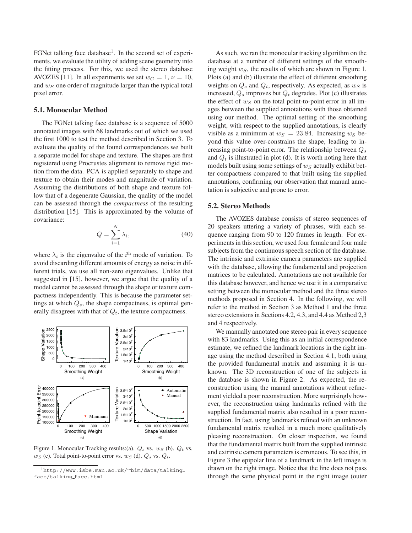FGNet talking face database<sup>1</sup>. In the second set of experiments, we evaluate the utility of adding scene geometry into the fitting process. For this, we used the stereo database AVOZES [11]. In all experiments we set  $w_C = 1$ ,  $\nu = 10$ , and  $w_E$  one order of magnitude larger than the typical total pixel error.

### **5.1. Monocular Method**

The FGNet talking face database is a sequence of 5000 annotated images with 68 landmarks out of which we used the first 1000 to test the method described in Section 3. To evaluate the quality of the found correspondences we built a separate model for shape and texture. The shapes are first registered using Procrustes alignment to remove rigid motion from the data. PCA is applied separately to shape and texture to obtain their modes and magnitude of variation. Assuming the distributions of both shape and texture follow that of a degenerate Gaussian, the quality of the model can be assessed through the *compactness* of the resulting distribution [15]. This is approximated by the volume of covariance:

$$
Q = \sum_{i=1}^{N} \lambda_i,
$$
\n(40)

where  $\lambda_i$  is the eigenvalue of the  $i^{\text{th}}$  mode of variation. To avoid discarding different amounts of energy as noise in different trials, we use all non-zero eigenvalues. Unlike that suggested in [15], however, we argue that the quality of a model cannot be assessed through the shape or texture compactness independently. This is because the parameter settings at which  $Q_s$ , the shape compactness, is optimal generally disagrees with that of  $Q_t$ , the texture compactness.



Figure 1. Monocular Tracking results:(a). *Q<sup>s</sup>* vs. *w<sup>S</sup>* (b). *Q<sup>t</sup>* vs.  $w_S$  (c). Total point-to-point error vs.  $w_S$  (d).  $Q_s$  vs.  $Q_t$ .

As such, we ran the monocular tracking algorithm on the database at a number of different settings of the smoothing weight  $w<sub>S</sub>$ , the results of which are shown in Figure 1. Plots (a) and (b) illustrate the effect of different smoothing weights on  $Q_s$  and  $Q_t$ , respectively. As expected, as  $w_S$  is increased,  $Q_s$  improves but  $Q_t$  degrades. Plot (c) illustrates the effect of  $w_S$  on the total point-to-point error in all images between the supplied annotations with those obtained using our method. The optimal setting of the smoothing weight, with respect to the supplied annotations, is clearly visible as a minimum at  $w_S = 23.84$ . Increasing  $w_S$  beyond this value over-constrains the shape, leading to increasing point-to-point error. The relationship between  $Q_s$ and  $Q_t$  is illustrated in plot (d). It is worth noting here that models built using some settings of  $w_S$  actually exhibit better compactness compared to that built using the supplied annotations, confirming our observation that manual annotation is subjective and prone to error.

#### **5.2. Stereo Methods**

The AVOZES database consists of stereo sequences of 20 speakers uttering a variety of phrases, with each sequence ranging from 90 to 120 frames in length. For experiments in this section, we used four female and four male subjects from the continuous speech section of the database. The intrinsic and extrinsic camera parameters are supplied with the database, allowing the fundamental and projection matrices to be calculated. Annotations are not available for this database however, and hence we use it in a comparative setting between the monocular method and the three stereo methods proposed in Section 4. In the following, we will refer to the method in Section 3 as Method 1 and the three stereo extensions in Sections 4.2, 4.3, and 4.4 as Method 2,3 and 4 respectively.

We manually annotated one stereo pair in every sequence with 83 landmarks. Using this as an initial correspondence estimate, we refined the landmark locations in the right image using the method described in Section 4.1, both using the provided fundamental matrix and assuming it is unknown. The 3D reconstruction of one of the subjects in the database is shown in Figure 2. As expected, the reconstruction using the manual annotations without refinement yielded a poor reconstruction. More surprisingly however, the reconstruction using landmarks refined with the supplied fundamental matrix also resulted in a poor reconstruction. In fact, using landmarks refined with an unknown fundamental matrix resulted in a much more qualitatively pleasing reconstruction. On closer inspection, we found that the fundamental matrix built from the supplied intrinsic and extrinsic camera parameters is erroneous. To see this, in Figure 3 the epipolar line of a landmark in the left image is drawn on the right image. Notice that the line does not pass through the same physical point in the right image (outer

<sup>1</sup>http://www.isbe.man.ac.uk/∼bim/data/talking face/talking face.html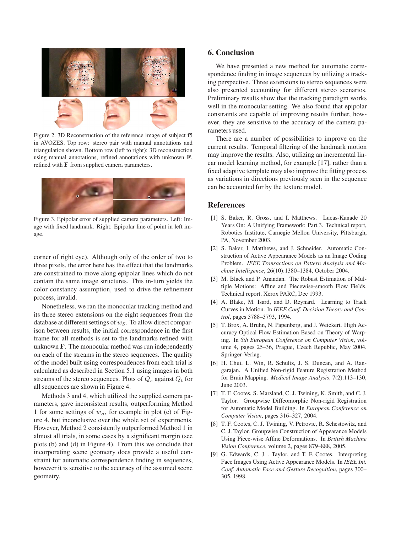

Figure 2. 3D Reconstruction of the reference image of subject f5 in AVOZES. Top row: stereo pair with manual annotations and triangulation shown. Bottom row (left to right): 3D reconstruction using manual annotations, refined annotations with unknown **F**, refined with **F** from supplied camera parameters.



Figure 3. Epipolar error of supplied camera parameters. Left: Image with fixed landmark. Right: Epipolar line of point in left image.

corner of right eye). Although only of the order of two to three pixels, the error here has the effect that the landmarks are constrained to move along epipolar lines which do not contain the same image structures. This in-turn yields the color constancy assumption, used to drive the refinement process, invalid.

Nonetheless, we ran the monocular tracking method and its three stereo extensions on the eight sequences from the database at different settings of  $w_S$ . To allow direct comparison between results, the initial correspondence in the first frame for all methods is set to the landmarks refined with unknown **F**. The monocular method was run independently on each of the streams in the stereo sequences. The quality of the model built using correspondences from each trial is calculated as described in Section 5.1 using images in both streams of the stereo sequences. Plots of  $Q_s$  against  $Q_t$  for all sequences are shown in Figure 4.

Methods 3 and 4, which utilized the supplied camera parameters, gave inconsistent results, outperforming Method 1 for some settings of  $w<sub>S</sub>$ , for example in plot (e) of Figure 4, but inconclusive over the whole set of experiments. However, Method 2 consistently outperformed Method 1 in almost all trials, in some cases by a significant margin (see plots (b) and (d) in Figure 4). From this we conclude that incorporating scene geometry does provide a useful constraint for automatic correspondence finding in sequences, however it is sensitive to the accuracy of the assumed scene geometry.

# **6. Conclusion**

We have presented a new method for automatic correspondence finding in image sequences by utilizing a tracking perspective. Three extensions to stereo sequences were also presented accounting for different stereo scenarios. Preliminary results show that the tracking paradigm works well in the monocular setting. We also found that epipolar constraints are capable of improving results further, however, they are sensitive to the accuracy of the camera parameters used.

There are a number of possibilities to improve on the current results. Temporal filtering of the landmark motion may improve the results. Also, utilizing an incremental linear model learning method, for example [17], rather than a fixed adaptive template may also improve the fitting process as variations in directions previously seen in the sequence can be accounted for by the texture model.

### **References**

- [1] S. Baker, R. Gross, and I. Matthews. Lucas-Kanade 20 Years On: A Unifying Framework: Part 3. Technical report, Robotics Institute, Carnegie Mellon University, Pittsburgh, PA, November 2003.
- [2] S. Baker, I. Matthews, and J. Schneider. Automatic Construction of Active Appearance Models as an Image Coding Problem. *IEEE Transactions on Pattern Analysis and Machine Intelligence*, 26(10):1380–1384, October 2004.
- [3] M. Black and P. Anandan. The Robust Estimation of Multiple Motions: Affine and Piecewise-smooth Flow Fields. Technical report, Xerox PARC, Dec 1993.
- [4] A. Blake, M. Isard, and D. Reynard. Learning to Track Curves in Motion. In *IEEE Conf. Decision Theory and Control*, pages 3788–3793, 1994.
- [5] T. Brox, A. Bruhn, N. Papenberg, and J. Weickert. High Accuracy Optical Flow Estimation Based on Theory of Warping. In *8th European Conference on Computer Vision*, volume 4, pages 25–36, Prague, Czech Republic, May 2004. Springer-Verlag.
- [6] H. Chui, L. Win, R. Schultz, J. S. Duncan, and A. Rangarajan. A Unified Non-rigid Feature Registration Method for Brain Mapping. *Medical Image Analysis*, 7(2):113–130, June 2003.
- [7] T. F. Cootes, S. Marsland, C. J. Twining, K. Smith, and C. J. Taylor. Groupwise Diffeomorphic Non-rigid Registration for Automatic Model Building. In *European Conference on Computer Vision*, pages 316–327, 2004.
- [8] T. F. Cootes, C. J. Twining, V. Petrovic, R. Schestowitz, and C. J. Taylor. Groupwise Construction of Appearance Models Using Piece-wise Affine Deformations. In *British Machine Vision Conference*, volume 2, pages 879–888, 2005.
- [9] G. Edwards, C. J. . Taylor, and T. F. Cootes. Interpreting Face Images Using Active Appearance Models. In *IEEE Int. Conf. Automatic Face and Gesture Recognition*, pages 300– 305, 1998.